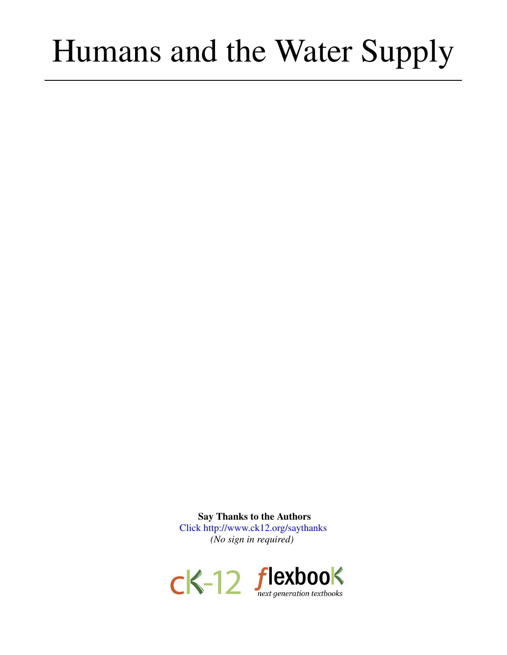# Humans and the Water Supply

Say Thanks to the Authors [Click http://www.ck12.org/saythanks](http://www.ck12.org/saythanks) *(No sign in required)*

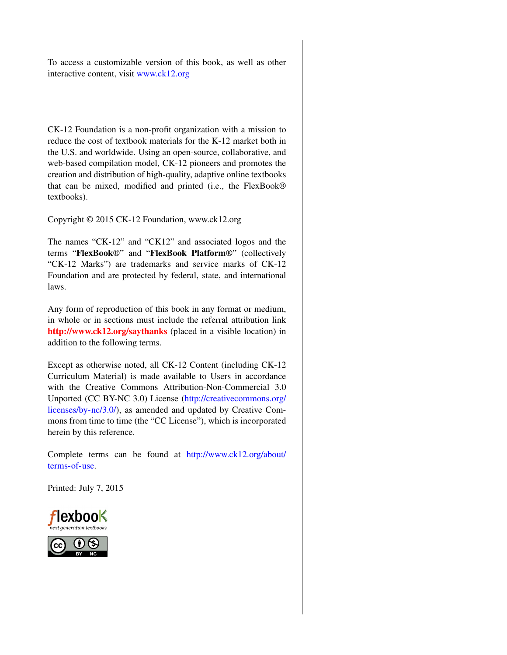To access a customizable version of this book, as well as other interactive content, visit [www.ck12.org](http://www.ck12.org/)

CK-12 Foundation is a non-profit organization with a mission to reduce the cost of textbook materials for the K-12 market both in the U.S. and worldwide. Using an open-source, collaborative, and web-based compilation model, CK-12 pioneers and promotes the creation and distribution of high-quality, adaptive online textbooks that can be mixed, modified and printed (i.e., the FlexBook® textbooks).

Copyright © 2015 CK-12 Foundation, www.ck12.org

The names "CK-12" and "CK12" and associated logos and the terms "FlexBook®" and "FlexBook Platform®" (collectively "CK-12 Marks") are trademarks and service marks of CK-12 Foundation and are protected by federal, state, and international laws.

Any form of reproduction of this book in any format or medium, in whole or in sections must include the referral attribution link <http://www.ck12.org/saythanks> (placed in a visible location) in addition to the following terms.

Except as otherwise noted, all CK-12 Content (including CK-12 Curriculum Material) is made available to Users in accordance with the Creative Commons Attribution-Non-Commercial 3.0 Unported (CC BY-NC 3.0) License [\(http://creativecommons.org/](http://creativecommons.org/licenses/by-nc/3.0/) [licenses/by-nc/3.0/\)](http://creativecommons.org/licenses/by-nc/3.0/), as amended and updated by Creative Commons from time to time (the "CC License"), which is incorporated herein by this reference.

Complete terms can be found at [http://www.ck12.org/about/](http://www.ck12.org/about/terms-of-use) [terms-of-use.](http://www.ck12.org/about/terms-of-use)

Printed: July 7, 2015



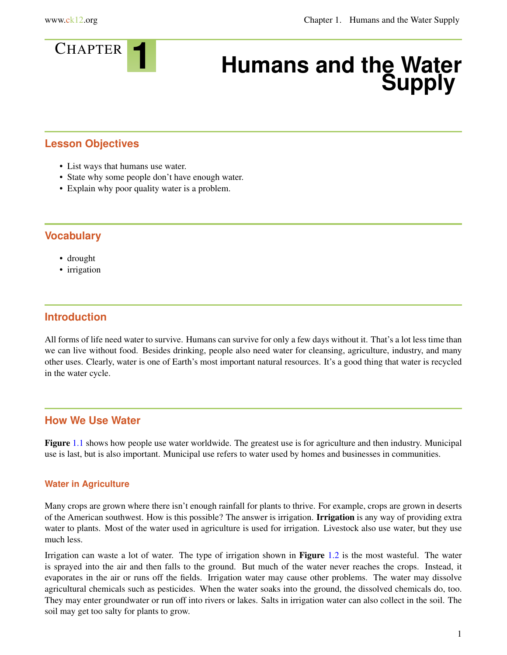

# <sup>C</sup>HAPTER **1 Humans and the Water Supply**

# **Lesson Objectives**

- List ways that humans use water.
- State why some people don't have enough water.
- Explain why poor quality water is a problem.

# **Vocabulary**

- drought
- irrigation

# **Introduction**

All forms of life need water to survive. Humans can survive for only a few days without it. That's a lot less time than we can live without food. Besides drinking, people also need water for cleansing, agriculture, industry, and many other uses. Clearly, water is one of Earth's most important natural resources. It's a good thing that water is recycled in the water cycle.

# **How We Use Water**

Figure [1.1](#page-3-0) shows how people use water worldwide. The greatest use is for agriculture and then industry. Municipal use is last, but is also important. Municipal use refers to water used by homes and businesses in communities.

#### **Water in Agriculture**

Many crops are grown where there isn't enough rainfall for plants to thrive. For example, crops are grown in deserts of the American southwest. How is this possible? The answer is irrigation. Irrigation is any way of providing extra water to plants. Most of the water used in agriculture is used for irrigation. Livestock also use water, but they use much less.

Irrigation can waste a lot of water. The type of irrigation shown in **Figure** [1.2](#page-3-1) is the most wasteful. The water is sprayed into the air and then falls to the ground. But much of the water never reaches the crops. Instead, it evaporates in the air or runs off the fields. Irrigation water may cause other problems. The water may dissolve agricultural chemicals such as pesticides. When the water soaks into the ground, the dissolved chemicals do, too. They may enter groundwater or run off into rivers or lakes. Salts in irrigation water can also collect in the soil. The soil may get too salty for plants to grow.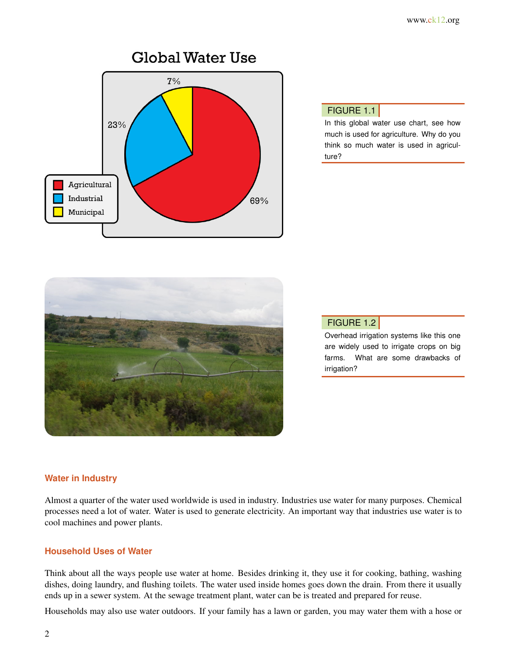<span id="page-3-0"></span>

# FIGURE 1.1

In this global water use chart, see how much is used for agriculture. Why do you think so much water is used in agriculture?

<span id="page-3-1"></span>

### FIGURE 1.2

Overhead irrigation systems like this one are widely used to irrigate crops on big farms. What are some drawbacks of irrigation?

#### **Water in Industry**

Almost a quarter of the water used worldwide is used in industry. Industries use water for many purposes. Chemical processes need a lot of water. Water is used to generate electricity. An important way that industries use water is to cool machines and power plants.

#### **Household Uses of Water**

Think about all the ways people use water at home. Besides drinking it, they use it for cooking, bathing, washing dishes, doing laundry, and flushing toilets. The water used inside homes goes down the drain. From there it usually ends up in a sewer system. At the sewage treatment plant, water can be is treated and prepared for reuse.

Households may also use water outdoors. If your family has a lawn or garden, you may water them with a hose or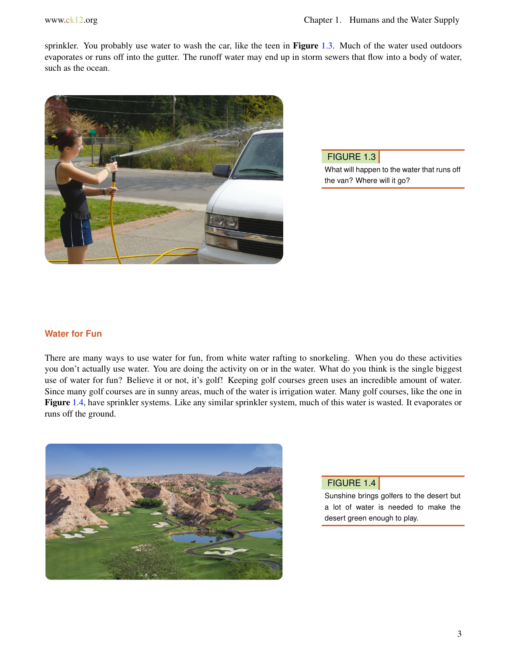sprinkler. You probably use water to wash the car, like the teen in Figure [1.3.](#page-4-0) Much of the water used outdoors evaporates or runs off into the gutter. The runoff water may end up in storm sewers that flow into a body of water, such as the ocean.

<span id="page-4-0"></span>

FIGURE 1.3 What will happen to the water that runs off the van? Where will it go?

#### **Water for Fun**

There are many ways to use water for fun, from white water rafting to snorkeling. When you do these activities you don't actually use water. You are doing the activity on or in the water. What do you think is the single biggest use of water for fun? Believe it or not, it's golf! Keeping golf courses green uses an incredible amount of water. Since many golf courses are in sunny areas, much of the water is irrigation water. Many golf courses, like the one in Figure [1.4,](#page-4-1) have sprinkler systems. Like any similar sprinkler system, much of this water is wasted. It evaporates or runs off the ground.

<span id="page-4-1"></span>

#### FIGURE 1.4

Sunshine brings golfers to the desert but a lot of water is needed to make the desert green enough to play.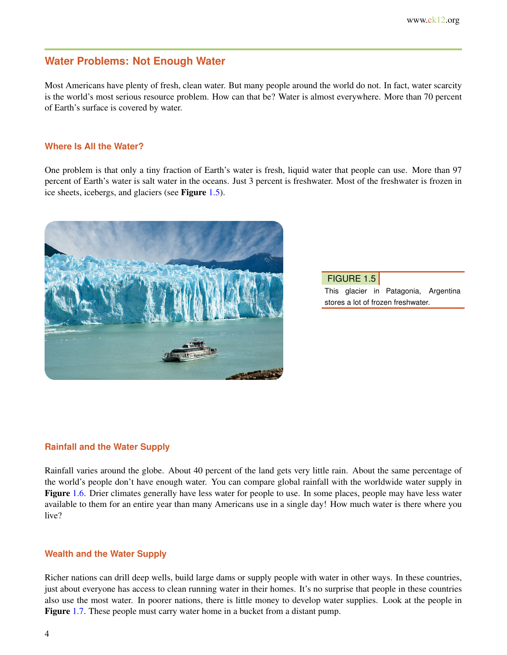# **Water Problems: Not Enough Water**

Most Americans have plenty of fresh, clean water. But many people around the world do not. In fact, water scarcity is the world's most serious resource problem. How can that be? Water is almost everywhere. More than 70 percent of Earth's surface is covered by water.

#### **Where Is All the Water?**

One problem is that only a tiny fraction of Earth's water is fresh, liquid water that people can use. More than 97 percent of Earth's water is salt water in the oceans. Just 3 percent is freshwater. Most of the freshwater is frozen in ice sheets, icebergs, and glaciers (see Figure [1.5\)](#page-5-0).

<span id="page-5-0"></span>

FIGURE 1.5

This glacier in Patagonia, Argentina stores a lot of frozen freshwater.

#### **Rainfall and the Water Supply**

Rainfall varies around the globe. About 40 percent of the land gets very little rain. About the same percentage of the world's people don't have enough water. You can compare global rainfall with the worldwide water supply in Figure [1.6.](#page-6-0) Drier climates generally have less water for people to use. In some places, people may have less water available to them for an entire year than many Americans use in a single day! How much water is there where you live?

#### **Wealth and the Water Supply**

Richer nations can drill deep wells, build large dams or supply people with water in other ways. In these countries, just about everyone has access to clean running water in their homes. It's no surprise that people in these countries also use the most water. In poorer nations, there is little money to develop water supplies. Look at the people in Figure [1.7.](#page-6-1) These people must carry water home in a bucket from a distant pump.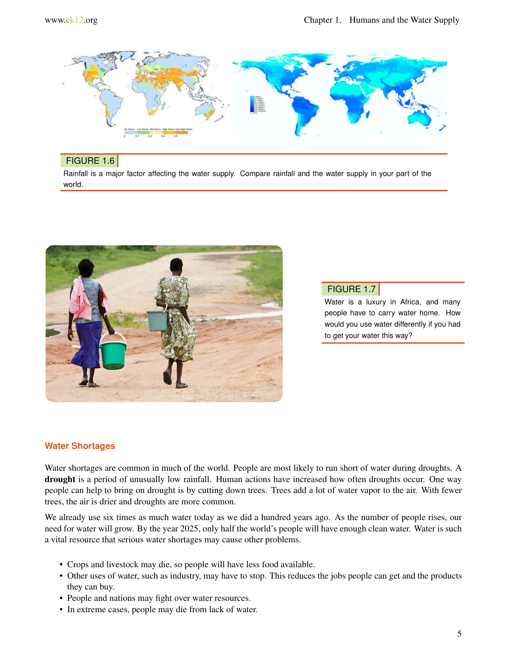<span id="page-6-0"></span>

#### FIGURE 1.6

Rainfall is a major factor affecting the water supply. Compare rainfall and the water supply in your part of the world.

<span id="page-6-1"></span>

# FIGURE 1.7

Water is a luxury in Africa, and many people have to carry water home. How would you use water differently if you had to get your water this way?

#### **Water Shortages**

Water shortages are common in much of the world. People are most likely to run short of water during droughts. A drought is a period of unusually low rainfall. Human actions have increased how often droughts occur. One way people can help to bring on drought is by cutting down trees. Trees add a lot of water vapor to the air. With fewer trees, the air is drier and droughts are more common.

We already use six times as much water today as we did a hundred years ago. As the number of people rises, our need for water will grow. By the year 2025, only half the world's people will have enough clean water. Water is such a vital resource that serious water shortages may cause other problems.

- Crops and livestock may die, so people will have less food available.
- Other uses of water, such as industry, may have to stop. This reduces the jobs people can get and the products they can buy.
- People and nations may fight over water resources.
- In extreme cases, people may die from lack of water.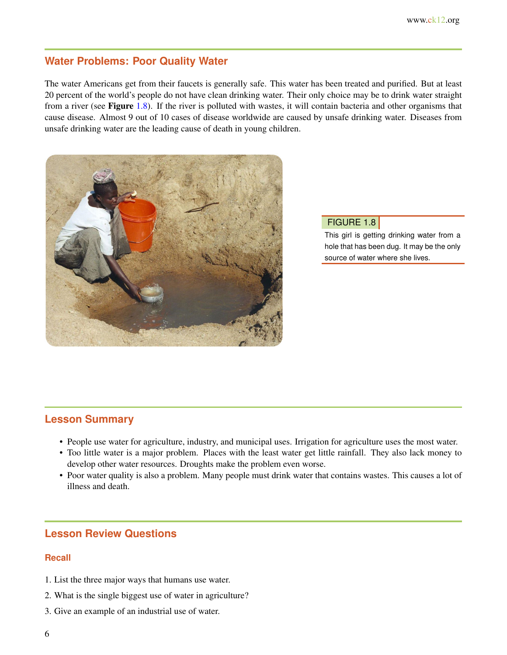# **Water Problems: Poor Quality Water**

The water Americans get from their faucets is generally safe. This water has been treated and purified. But at least 20 percent of the world's people do not have clean drinking water. Their only choice may be to drink water straight from a river (see Figure [1.8\)](#page-7-0). If the river is polluted with wastes, it will contain bacteria and other organisms that cause disease. Almost 9 out of 10 cases of disease worldwide are caused by unsafe drinking water. Diseases from unsafe drinking water are the leading cause of death in young children.

<span id="page-7-0"></span>

#### FIGURE 1.8

This girl is getting drinking water from a hole that has been dug. It may be the only source of water where she lives.

# **Lesson Summary**

- People use water for agriculture, industry, and municipal uses. Irrigation for agriculture uses the most water.
- Too little water is a major problem. Places with the least water get little rainfall. They also lack money to develop other water resources. Droughts make the problem even worse.
- Poor water quality is also a problem. Many people must drink water that contains wastes. This causes a lot of illness and death.

# **Lesson Review Questions**

#### **Recall**

- 1. List the three major ways that humans use water.
- 2. What is the single biggest use of water in agriculture?
- 3. Give an example of an industrial use of water.